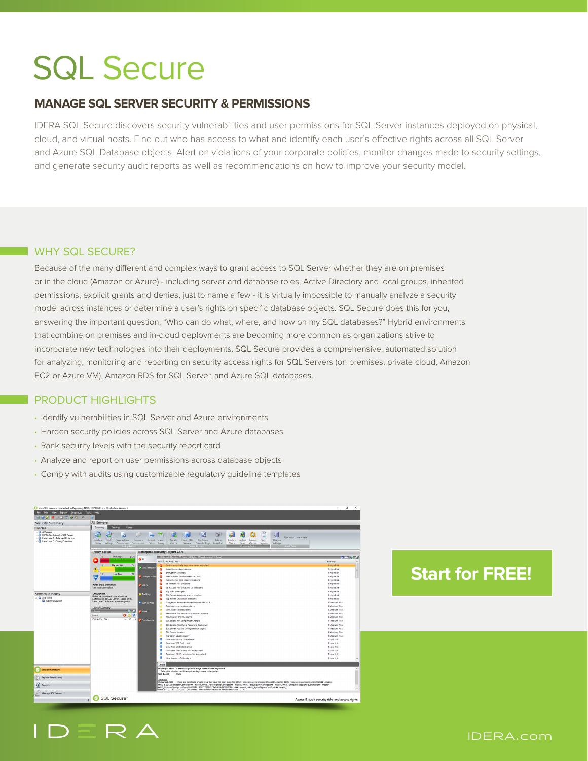# SQL Secure

# **MANAGE SQL SERVER SECURITY & PERMISSIONS**

IDERA SQL Secure discovers security vulnerabilities and user permissions for SQL Server instances deployed on physical, cloud, and virtual hosts. Find out who has access to what and identify each user's effective rights across all SQL Server and Azure SQL Database objects. Alert on violations of your corporate policies, monitor changes made to security settings, and generate security audit reports as well as recommendations on how to improve your security model.

### WHY SQL SECURE?

Because of the many different and complex ways to grant access to SQL Server whether they are on premises or in the cloud (Amazon or Azure) - including server and database roles, Active Directory and local groups, inherited permissions, explicit grants and denies, just to name a few - it is virtually impossible to manually analyze a security model across instances or determine a user's rights on specific database objects. SQL Secure does this for you, answering the important question, "Who can do what, where, and how on my SQL databases?" Hybrid environments that combine on premises and in-cloud deployments are becoming more common as organizations strive to incorporate new technologies into their deployments. SQL Secure provides a comprehensive, automated solution for analyzing, monitoring and reporting on security access rights for SQL Servers (on premises, private cloud, Amazon EC2 or Azure VM), Amazon RDS for SQL Server, and Azure SQL databases.

# PRODUCT HIGHLIGHTS

- Identify vulnerabilities in SQL Server and Azure environments
- Harden security policies across SQL Server and Azure databases
- Rank security levels with the security report card
- Analyze and report on user permissions across database objects
- Comply with audits using customizable regulatory guideline templates



# **[Start for FREE!](https://www.idera.com/productssolutions/sqlserver/sqlsecure/freetrialsubscriptionform?utm_medium=inasset&utm_content=pdf&utm_source=datasheet&utm_campaign=sqlsecure)**